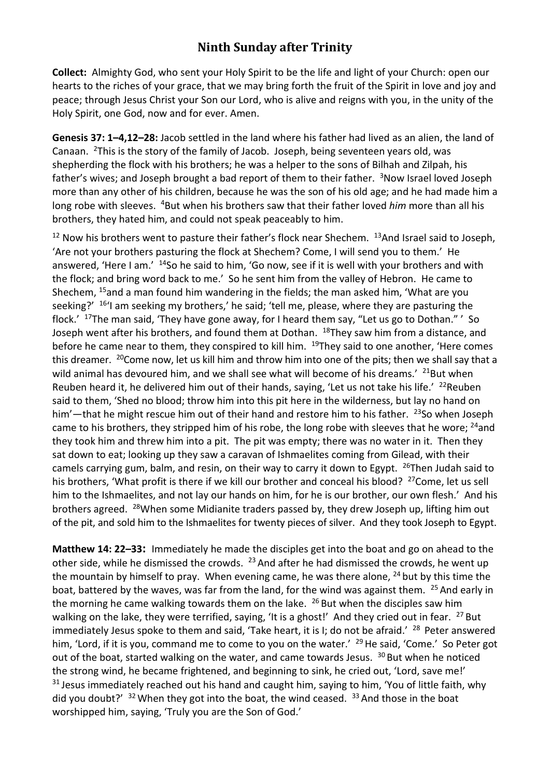## **Ninth Sunday after Trinity**

**Collect:** Almighty God, who sent your Holy Spirit to be the life and light of your Church: open our hearts to the riches of your grace, that we may bring forth the fruit of the Spirit in love and joy and peace; through Jesus Christ your Son our Lord, who is alive and reigns with you, in the unity of the Holy Spirit, one God, now and for ever. Amen.

**Genesis 37: 1–4,12–28:** Jacob settled in the land where his father had lived as an alien, the land of Canaan. <sup>2</sup>This is the story of the family of Jacob. Joseph, being seventeen years old, was shepherding the flock with his brothers; he was a helper to the sons of Bilhah and Zilpah, his father's wives; and Joseph brought a bad report of them to their father. <sup>3</sup>Now Israel loved Joseph more than any other of his children, because he was the son of his old age; and he had made him a long robe with sleeves. <sup>4</sup>But when his brothers saw that their father loved *him* more than all his brothers, they hated him, and could not speak peaceably to him.

 $12$  Now his brothers went to pasture their father's flock near Shechem.  $13$ And Israel said to Joseph, 'Are not your brothers pasturing the flock at Shechem? Come, I will send you to them.' He answered, 'Here I am.' <sup>14</sup>So he said to him, 'Go now, see if it is well with your brothers and with the flock; and bring word back to me.' So he sent him from the valley of Hebron. He came to Shechem, <sup>15</sup>and a man found him wandering in the fields; the man asked him, 'What are you seeking?'  $16'$ I am seeking my brothers,' he said; 'tell me, please, where they are pasturing the flock.' <sup>17</sup>The man said, 'They have gone away, for I heard them say, "Let us go to Dothan." ' So Joseph went after his brothers, and found them at Dothan. <sup>18</sup>They saw him from a distance, and before he came near to them, they conspired to kill him. <sup>19</sup>They said to one another, 'Here comes this dreamer. <sup>20</sup> Come now, let us kill him and throw him into one of the pits; then we shall say that a wild animal has devoured him, and we shall see what will become of his dreams.' <sup>21</sup>But when Reuben heard it, he delivered him out of their hands, saying, 'Let us not take his life.'  $^{22}$ Reuben said to them, 'Shed no blood; throw him into this pit here in the wilderness, but lay no hand on him'—that he might rescue him out of their hand and restore him to his father.  $^{23}$ So when Joseph came to his brothers, they stripped him of his robe, the long robe with sleeves that he wore; <sup>24</sup>and they took him and threw him into a pit. The pit was empty; there was no water in it. Then they sat down to eat; looking up they saw a caravan of Ishmaelites coming from Gilead, with their camels carrying gum, balm, and resin, on their way to carry it down to Egypt.  $^{26}$ Then Judah said to his brothers, 'What profit is there if we kill our brother and conceal his blood? <sup>27</sup>Come, let us sell him to the Ishmaelites, and not lay our hands on him, for he is our brother, our own flesh.' And his brothers agreed. <sup>28</sup>When some Midianite traders passed by, they drew Joseph up, lifting him out of the pit, and sold him to the Ishmaelites for twenty pieces of silver. And they took Joseph to Egypt.

**Matthew 14: 22–33:** Immediately he made the disciples get into the boat and go on ahead to the other side, while he dismissed the crowds. <sup>23</sup> And after he had dismissed the crowds, he went up the mountain by himself to pray. When evening came, he was there alone,  $^{24}$  but by this time the boat, battered by the waves, was far from the land, for the wind was against them. <sup>25</sup> And early in the morning he came walking towards them on the lake.  $26$  But when the disciples saw him walking on the lake, they were terrified, saying, 'It is a ghost!' And they cried out in fear. <sup>27</sup> But immediately Jesus spoke to them and said, 'Take heart, it is I; do not be afraid.' <sup>28</sup> Peter answered him, 'Lord, if it is you, command me to come to you on the water.' <sup>29</sup> He said, 'Come.' So Peter got out of the boat, started walking on the water, and came towards Jesus. <sup>30</sup> But when he noticed the strong wind, he became frightened, and beginning to sink, he cried out, 'Lord, save me!'  $31$  Jesus immediately reached out his hand and caught him, saying to him, 'You of little faith, why did you doubt?'  $32$  When they got into the boat, the wind ceased.  $33$  And those in the boat worshipped him, saying, 'Truly you are the Son of God.'